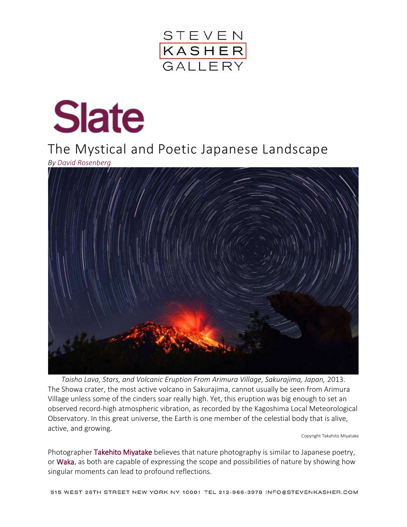



## Slate<br>The Mystical and Poetic Japanese Landscape

*By [David Rosenberg](http://www.slate.com/authors.david_rosenberg.html)*



*Taisho Lava, Stars, and Volcanic Eruption From Arimura Village, Sakurajima, Japan,* 2013. The Showa crater, the most active volcano in Sakurajima, cannot usually be seen from Arimura Village unless some of the cinders soar really high. Yet, this eruption was big enough to set an observed record-high atmospheric vibration, as recorded by the Kagoshima Local Meteorological Observatory. In this great universe, the Earth is one member of the celestial body that is alive, active, and growing.

Copyright Takehito Miyatake

Photographer [Takehito Miyatake](https://www.facebook.com/takehito.miyatake?fref=browse_search) believes that nature photography is similar to Japanese poetry, or [Waka,](http://afe.easia.columbia.edu/special/japan_600ce_waka.htm) as both are capable of expressing the scope and possibilities of nature by showing how singular moments can lead to profound reflections.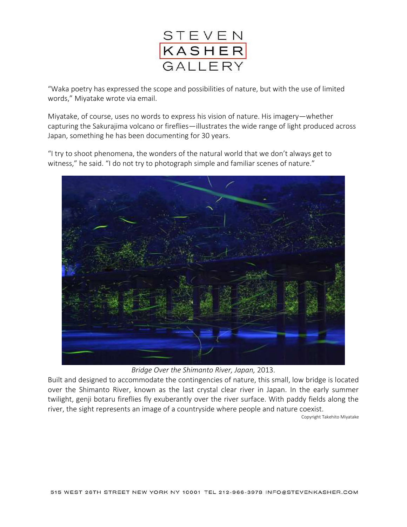

"Waka poetry has expressed the scope and possibilities of nature, but with the use of limited words," Miyatake wrote via email.

Miyatake, of course, uses no words to express his vision of nature. His imagery—whether capturing the Sakurajima volcano or fireflies—illustrates the wide range of light produced across Japan, something he has been documenting for 30 years.

"I try to shoot phenomena, the wonders of the natural world that we don't always get to witness," he said. "I do not try to photograph simple and familiar scenes of nature."



*Bridge Over the Shimanto River, Japan,* 2013.

Built and designed to accommodate the contingencies of nature, this small, low bridge is located over the Shimanto River, known as the last crystal clear river in Japan. In the early summer twilight, genji botaru fireflies fly exuberantly over the river surface. With paddy fields along the river, the sight represents an image of a countryside where people and nature coexist.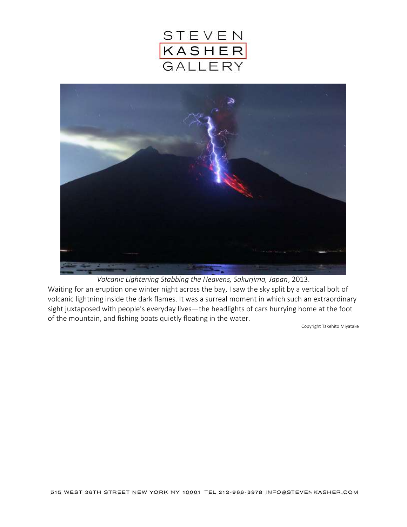



*Volcanic Lightening Stabbing the Heavens, Sakurjima, Japan*, 2013.

Waiting for an eruption one winter night across the bay, I saw the sky split by a vertical bolt of volcanic lightning inside the dark flames. It was a surreal moment in which such an extraordinary sight juxtaposed with people's everyday lives—the headlights of cars hurrying home at the foot of the mountain, and fishing boats quietly floating in the water.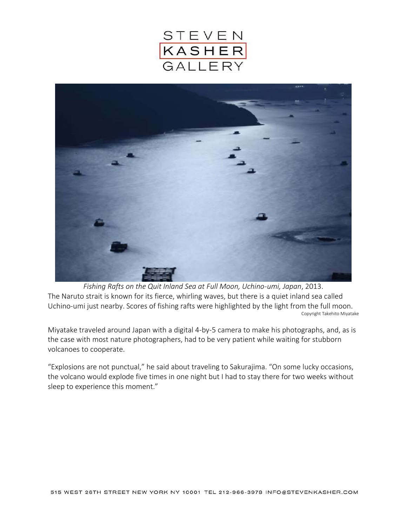



*Fishing Rafts on the Quit Inland Sea at Full Moon, Uchino-umi, Japan*, 2013. The Naruto strait is known for its fierce, whirling waves, but there is a quiet inland sea called Uchino-umi just nearby. Scores of fishing rafts were highlighted by the light from the full moon. Copyright Takehito Miyatake

Miyatake traveled around Japan with a digital 4-by-5 camera to make his photographs, and, as is the case with most nature photographers, had to be very patient while waiting for stubborn volcanoes to cooperate.

"Explosions are not punctual," he said about traveling to Sakurajima. "On some lucky occasions, the volcano would explode five times in one night but I had to stay there for two weeks without sleep to experience this moment."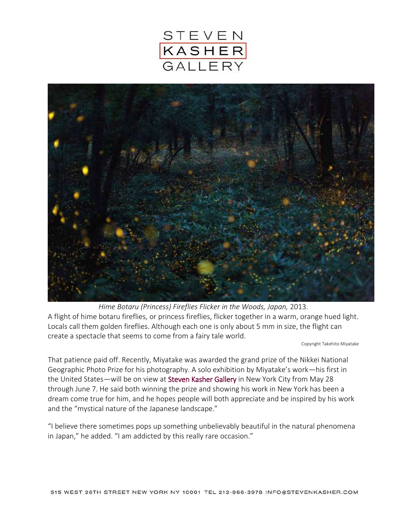



*Hime Botaru (Princess) Fireflies Flicker in the Woods, Japan,* 2013. A flight of hime botaru fireflies, or princess fireflies, flicker together in a warm, orange hued light. Locals call them golden fireflies. Although each one is only about 5 mm in size, the flight can create a spectacle that seems to come from a fairy tale world.

Copyright Takehito Miyatake

That patience paid off. Recently, Miyatake was awarded the grand prize of the Nikkei National Geographic Photo Prize for his photography. A solo exhibition by Miyatake's work—his first in the United States—will be on view at [Steven Kasher Gallery](http://www.stevenkasher.com/exhibition/109/#!3786) in New York City from May 28 through June 7. He said both winning the prize and showing his work in New York has been a dream come true for him, and he hopes people will both appreciate and be inspired by his work and the "mystical nature of the Japanese landscape."

"I believe there sometimes pops up something unbelievably beautiful in the natural phenomena in Japan," he added. "I am addicted by this really rare occasion."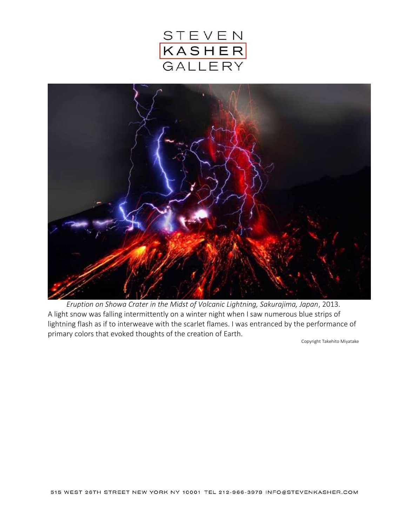



*Eruption on Showa Crater in the Midst of Volcanic Lightning, Sakurajima, Japan*, 2013. A light snow was falling intermittently on a winter night when I saw numerous blue strips of lightning flash as if to interweave with the scarlet flames. I was entranced by the performance of primary colors that evoked thoughts of the creation of Earth.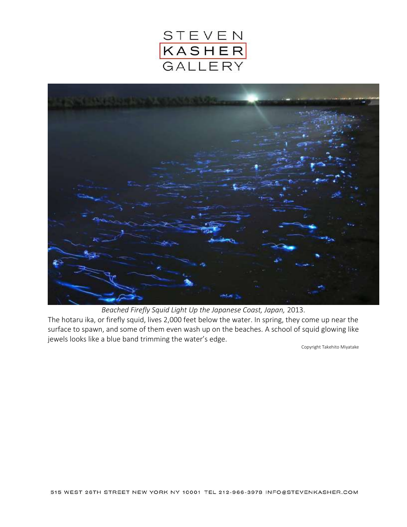



*Beached Firefly Squid Light Up the Japanese Coast, Japan,* 2013. The hotaru ika, or firefly squid, lives 2,000 feet below the water. In spring, they come up near the surface to spawn, and some of them even wash up on the beaches. A school of squid glowing like jewels looks like a blue band trimming the water's edge.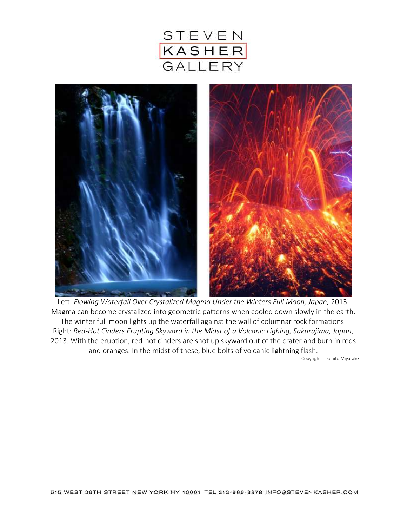



Left: *Flowing Waterfall Over Crystalized Magma Under the Winters Full Moon, Japan,* 2013. Magma can become crystalized into geometric patterns when cooled down slowly in the earth. The winter full moon lights up the waterfall against the wall of columnar rock formations. Right: *Red-Hot Cinders Erupting Skyward in the Midst of a Volcanic Lighing, Sakurajima, Japan*, 2013. With the eruption, red-hot cinders are shot up skyward out of the crater and burn in reds and oranges. In the midst of these, blue bolts of volcanic lightning flash.